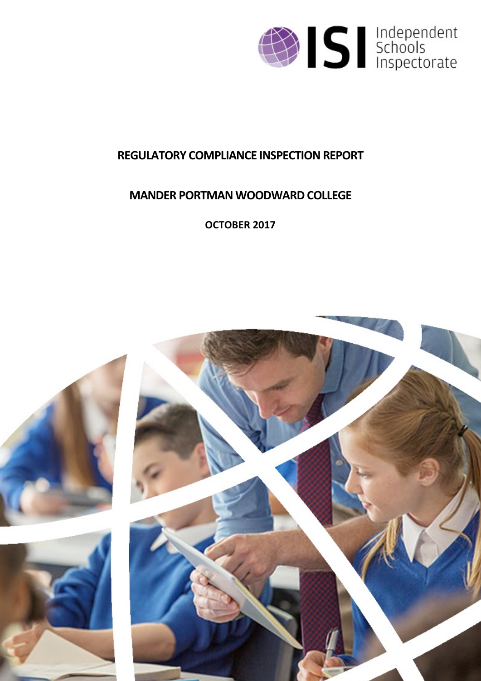

# **REGULATORY COMPLIANCE INSPECTION REPORT**

# **MANDER PORTMAN WOODWARD COLLEGE**

**OCTOBER 2017**

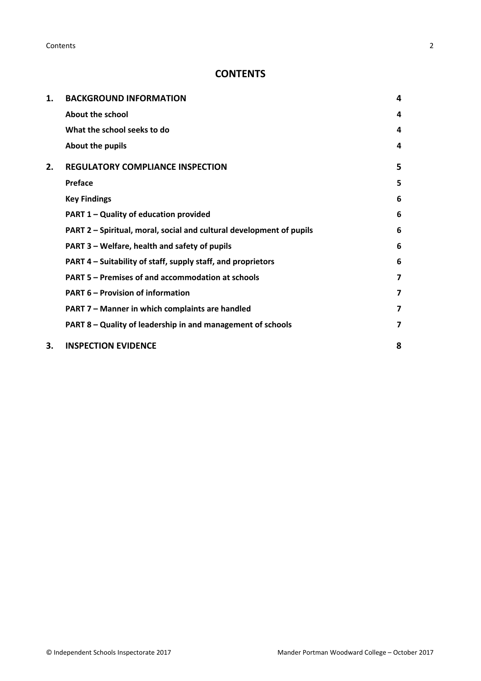**Contents** 2

# **CONTENTS**

| 1. | <b>BACKGROUND INFORMATION</b>                                        |   |
|----|----------------------------------------------------------------------|---|
|    | About the school                                                     | 4 |
|    | What the school seeks to do                                          | 4 |
|    | About the pupils                                                     | 4 |
| 2. | <b>REGULATORY COMPLIANCE INSPECTION</b>                              | 5 |
|    | Preface                                                              | 5 |
|    | <b>Key Findings</b>                                                  | 6 |
|    | PART 1 - Quality of education provided                               | 6 |
|    | PART 2 - Spiritual, moral, social and cultural development of pupils | 6 |
|    | PART 3 – Welfare, health and safety of pupils                        | 6 |
|    | PART 4 - Suitability of staff, supply staff, and proprietors         | 6 |
|    | PART 5 - Premises of and accommodation at schools                    | 7 |
|    | <b>PART 6 - Provision of information</b>                             | 7 |
|    | PART 7 - Manner in which complaints are handled                      | 7 |
|    | PART 8 - Quality of leadership in and management of schools          | 7 |
| 3. | <b>INSPECTION EVIDENCE</b>                                           | 8 |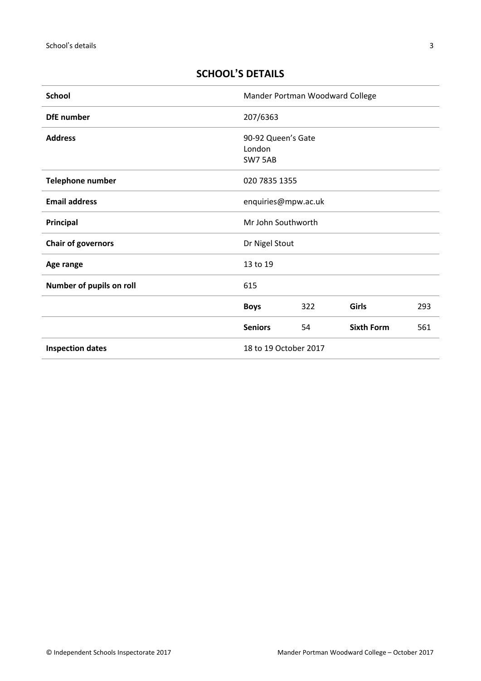# **SCHOOL'S DETAILS**

| <b>School</b>                                    | Mander Portman Woodward College         |     |                   |     |
|--------------------------------------------------|-----------------------------------------|-----|-------------------|-----|
| <b>DfE</b> number                                | 207/6363                                |     |                   |     |
| <b>Address</b>                                   | 90-92 Queen's Gate<br>London<br>SW7 5AB |     |                   |     |
| Telephone number                                 | 020 7835 1355                           |     |                   |     |
| <b>Email address</b>                             | enquiries@mpw.ac.uk                     |     |                   |     |
| Principal                                        | Mr John Southworth                      |     |                   |     |
| <b>Chair of governors</b>                        | Dr Nigel Stout                          |     |                   |     |
| Age range                                        | 13 to 19                                |     |                   |     |
| Number of pupils on roll                         | 615                                     |     |                   |     |
|                                                  | <b>Boys</b>                             | 322 | <b>Girls</b>      | 293 |
|                                                  | <b>Seniors</b>                          | 54  | <b>Sixth Form</b> | 561 |
| 18 to 19 October 2017<br><b>Inspection dates</b> |                                         |     |                   |     |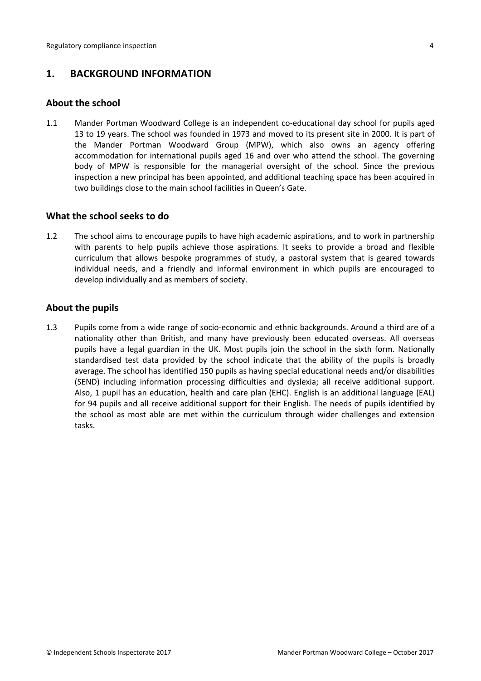# <span id="page-3-0"></span>**1. BACKGROUND INFORMATION**

#### <span id="page-3-1"></span>**About the school**

1.1 Mander Portman Woodward College is an independent co-educational day school for pupils aged 13 to 19 years. The school was founded in 1973 and moved to its present site in 2000. It is part of the Mander Portman Woodward Group (MPW), which also owns an agency offering accommodation for international pupils aged 16 and over who attend the school. The governing body of MPW is responsible for the managerial oversight of the school. Since the previous inspection a new principal has been appointed, and additional teaching space has been acquired in two buildings close to the main school facilities in Queen's Gate.

#### <span id="page-3-2"></span>**What the school seeks to do**

1.2 The school aims to encourage pupils to have high academic aspirations, and to work in partnership with parents to help pupils achieve those aspirations. It seeks to provide a broad and flexible curriculum that allows bespoke programmes of study, a pastoral system that is geared towards individual needs, and a friendly and informal environment in which pupils are encouraged to develop individually and as members of society.

#### <span id="page-3-3"></span>**About the pupils**

1.3 Pupils come from a wide range of socio-economic and ethnic backgrounds. Around a third are of a nationality other than British, and many have previously been educated overseas. All overseas pupils have a legal guardian in the UK. Most pupils join the school in the sixth form. Nationally standardised test data provided by the school indicate that the ability of the pupils is broadly average. The school has identified 150 pupils as having special educational needs and/or disabilities (SEND) including information processing difficulties and dyslexia; all receive additional support. Also, 1 pupil has an education, health and care plan (EHC). English is an additional language (EAL) for 94 pupils and all receive additional support for their English. The needs of pupils identified by the school as most able are met within the curriculum through wider challenges and extension tasks.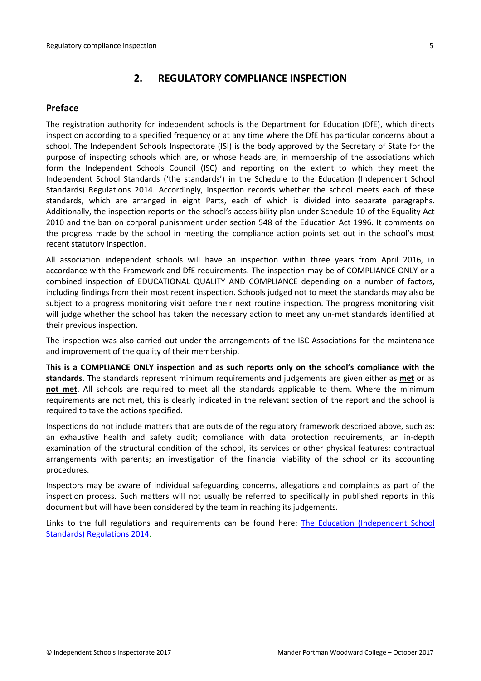# <span id="page-4-0"></span>**2. REGULATORY COMPLIANCE INSPECTION**

#### <span id="page-4-1"></span>**Preface**

The registration authority for independent schools is the Department for Education (DfE), which directs inspection according to a specified frequency or at any time where the DfE has particular concerns about a school. The Independent Schools Inspectorate (ISI) is the body approved by the Secretary of State for the purpose of inspecting schools which are, or whose heads are, in membership of the associations which form the Independent Schools Council (ISC) and reporting on the extent to which they meet the Independent School Standards ('the standards') in the Schedule to the Education (Independent School Standards) Regulations 2014. Accordingly, inspection records whether the school meets each of these standards, which are arranged in eight Parts, each of which is divided into separate paragraphs. Additionally, the inspection reports on the school's accessibility plan under Schedule 10 of the Equality Act 2010 and the ban on corporal punishment under section 548 of the Education Act 1996. It comments on the progress made by the school in meeting the compliance action points set out in the school's most recent statutory inspection.

All association independent schools will have an inspection within three years from April 2016, in accordance with the Framework and DfE requirements. The inspection may be of COMPLIANCE ONLY or a combined inspection of EDUCATIONAL QUALITY AND COMPLIANCE depending on a number of factors, including findings from their most recent inspection. Schools judged not to meet the standards may also be subject to a progress monitoring visit before their next routine inspection. The progress monitoring visit will judge whether the school has taken the necessary action to meet any un-met standards identified at their previous inspection.

The inspection was also carried out under the arrangements of the ISC Associations for the maintenance and improvement of the quality of their membership.

**This is a COMPLIANCE ONLY inspection and as such reports only on the school's compliance with the standards.** The standards represent minimum requirements and judgements are given either as **met** or as **not met**. All schools are required to meet all the standards applicable to them. Where the minimum requirements are not met, this is clearly indicated in the relevant section of the report and the school is required to take the actions specified.

Inspections do not include matters that are outside of the regulatory framework described above, such as: an exhaustive health and safety audit; compliance with data protection requirements; an in-depth examination of the structural condition of the school, its services or other physical features; contractual arrangements with parents; an investigation of the financial viability of the school or its accounting procedures.

Inspectors may be aware of individual safeguarding concerns, allegations and complaints as part of the inspection process. Such matters will not usually be referred to specifically in published reports in this document but will have been considered by the team in reaching its judgements.

Links to the full regulations and requirements can be found here: The Education [\(Independent](http://www.legislation.gov.uk/uksi/2014/3283/contents/made) School Standards) [Regulations](http://www.legislation.gov.uk/uksi/2014/3283/contents/made) 2014.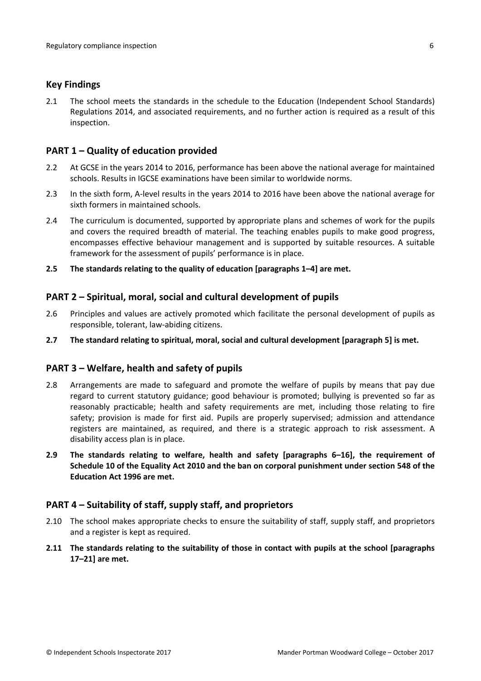#### <span id="page-5-0"></span>**Key Findings**

2.1 The school meets the standards in the schedule to the Education (Independent School Standards) Regulations 2014, and associated requirements, and no further action is required as a result of this inspection.

# <span id="page-5-1"></span>**PART 1 – Quality of education provided**

- 2.2 At GCSE in the years 2014 to 2016, performance has been above the national average for maintained schools. Results in IGCSE examinations have been similar to worldwide norms.
- 2.3 In the sixth form, A-level results in the years 2014 to 2016 have been above the national average for sixth formers in maintained schools.
- 2.4 The curriculum is documented, supported by appropriate plans and schemes of work for the pupils and covers the required breadth of material. The teaching enables pupils to make good progress, encompasses effective behaviour management and is supported by suitable resources. A suitable framework for the assessment of pupils' performance is in place.
- **2.5 The standards relating to the quality of education [paragraphs 1–4] are met.**

## <span id="page-5-2"></span>**PART 2 – Spiritual, moral, social and cultural development of pupils**

- 2.6 Principles and values are actively promoted which facilitate the personal development of pupils as responsible, tolerant, law-abiding citizens.
- **2.7 The standard relating to spiritual, moral, social and cultural development [paragraph 5] is met.**

## <span id="page-5-3"></span>**PART 3 – Welfare, health and safety of pupils**

- 2.8 Arrangements are made to safeguard and promote the welfare of pupils by means that pay due regard to current statutory guidance; good behaviour is promoted; bullying is prevented so far as reasonably practicable; health and safety requirements are met, including those relating to fire safety; provision is made for first aid. Pupils are properly supervised; admission and attendance registers are maintained, as required, and there is a strategic approach to risk assessment. A disability access plan is in place.
- **2.9 The standards relating to welfare, health and safety [paragraphs 6–16], the requirement of Schedule 10 of the Equality Act 2010 and the ban on corporal punishment under section 548 of the Education Act 1996 are met.**

## <span id="page-5-4"></span>**PART 4 – Suitability of staff, supply staff, and proprietors**

- 2.10 The school makes appropriate checks to ensure the suitability of staff, supply staff, and proprietors and a register is kept as required.
- **2.11 The standards relating to the suitability of those in contact with pupils at the school [paragraphs 17–21] are met.**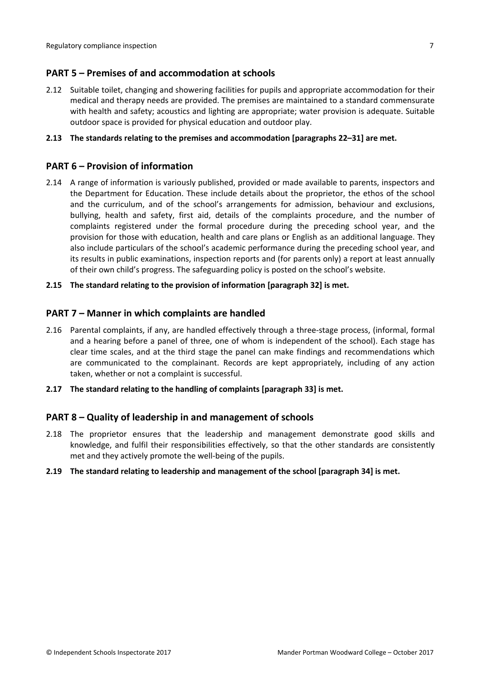# <span id="page-6-0"></span>**PART 5 – Premises of and accommodation at schools**

2.12 Suitable toilet, changing and showering facilities for pupils and appropriate accommodation for their medical and therapy needs are provided. The premises are maintained to a standard commensurate with health and safety; acoustics and lighting are appropriate; water provision is adequate. Suitable outdoor space is provided for physical education and outdoor play.

#### **2.13 The standards relating to the premises and accommodation [paragraphs 22–31] are met.**

# <span id="page-6-1"></span>**PART 6 – Provision of information**

2.14 A range of information is variously published, provided or made available to parents, inspectors and the Department for Education. These include details about the proprietor, the ethos of the school and the curriculum, and of the school's arrangements for admission, behaviour and exclusions, bullying, health and safety, first aid, details of the complaints procedure, and the number of complaints registered under the formal procedure during the preceding school year, and the provision for those with education, health and care plans or English as an additional language. They also include particulars of the school's academic performance during the preceding school year, and its results in public examinations, inspection reports and (for parents only) a report at least annually of their own child's progress. The safeguarding policy is posted on the school's website.

#### **2.15 The standard relating to the provision of information [paragraph 32] is met.**

## <span id="page-6-2"></span>**PART 7 – Manner in which complaints are handled**

- 2.16 Parental complaints, if any, are handled effectively through a three-stage process, (informal, formal and a hearing before a panel of three, one of whom is independent of the school). Each stage has clear time scales, and at the third stage the panel can make findings and recommendations which are communicated to the complainant. Records are kept appropriately, including of any action taken, whether or not a complaint is successful.
- **2.17 The standard relating to the handling of complaints [paragraph 33] is met.**

## <span id="page-6-3"></span>**PART 8 – Quality of leadership in and management of schools**

2.18 The proprietor ensures that the leadership and management demonstrate good skills and knowledge, and fulfil their responsibilities effectively, so that the other standards are consistently met and they actively promote the well-being of the pupils.

#### **2.19 The standard relating to leadership and management of the school [paragraph 34] is met.**